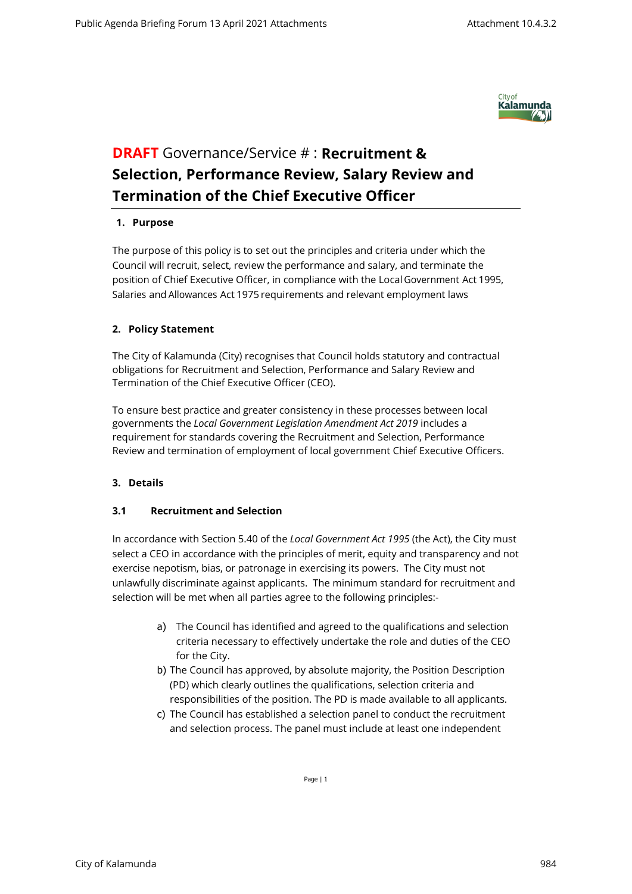

# **DRAFT** Governance/Service # : **Recruitment & Selection, Performance Review, Salary Review and Termination of the Chief Executive Officer**

#### **1. Purpose**

The purpose of this policy is to set out the principles and criteria under which the Council will recruit, select, review the performance and salary, and terminate the position of Chief Executive Officer, in compliance with the Local Government Act 1995, Salaries and Allowances Act 1975 requirements and relevant employment laws

## **2. Policy Statement**

The City of Kalamunda (City) recognises that Council holds statutory and contractual obligations for Recruitment and Selection, Performance and Salary Review and Termination of the Chief Executive Officer (CEO).

To ensure best practice and greater consistency in these processes between local governments the *Local Government Legislation Amendment Act 2019* includes a requirement for standards covering the Recruitment and Selection, Performance Review and termination of employment of local government Chief Executive Officers.

## **3. Details**

## **3.1 Recruitment and Selection**

In accordance with Section 5.40 of the *Local Government Act 1995* (the Act), the City must select a CEO in accordance with the principles of merit, equity and transparency and not exercise nepotism, bias, or patronage in exercising its powers. The City must not unlawfully discriminate against applicants. The minimum standard for recruitment and selection will be met when all parties agree to the following principles:-

- a) The Council has identified and agreed to the qualifications and selection criteria necessary to effectively undertake the role and duties of the CEO for the City.
- b) The Council has approved, by absolute majority, the Position Description (PD) which clearly outlines the qualifications, selection criteria and responsibilities of the position. The PD is made available to all applicants.
- c) The Council has established a selection panel to conduct the recruitment and selection process. The panel must include at least one independent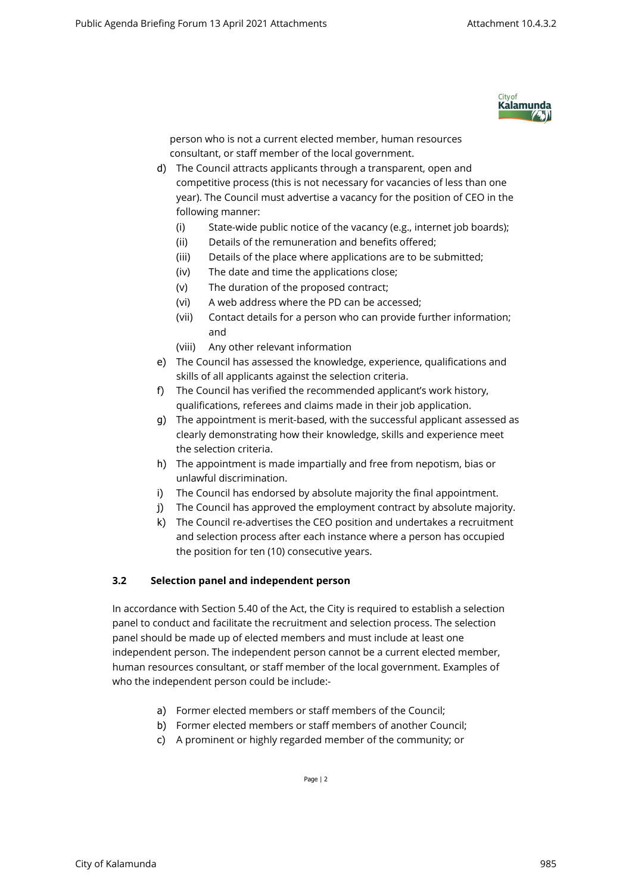

person who is not a current elected member, human resources consultant, or staff member of the local government.

- d) The Council attracts applicants through a transparent, open and competitive process (this is not necessary for vacancies of less than one year). The Council must advertise a vacancy for the position of CEO in the following manner:
	- (i) State-wide public notice of the vacancy (e.g., internet job boards);
	- (ii) Details of the remuneration and benefits offered;
	- (iii) Details of the place where applications are to be submitted;
	- (iv) The date and time the applications close;
	- (v) The duration of the proposed contract;
	- (vi) A web address where the PD can be accessed;
	- (vii) Contact details for a person who can provide further information; and
	- (viii) Any other relevant information
- e) The Council has assessed the knowledge, experience, qualifications and skills of all applicants against the selection criteria.
- f) The Council has verified the recommended applicant's work history, qualifications, referees and claims made in their job application.
- g) The appointment is merit-based, with the successful applicant assessed as clearly demonstrating how their knowledge, skills and experience meet the selection criteria.
- h) The appointment is made impartially and free from nepotism, bias or unlawful discrimination.
- i) The Council has endorsed by absolute majority the final appointment.
- j) The Council has approved the employment contract by absolute majority.
- k) The Council re-advertises the CEO position and undertakes a recruitment and selection process after each instance where a person has occupied the position for ten (10) consecutive years.

## **3.2 Selection panel and independent person**

In accordance with Section 5.40 of the Act, the City is required to establish a selection panel to conduct and facilitate the recruitment and selection process. The selection panel should be made up of elected members and must include at least one independent person. The independent person cannot be a current elected member, human resources consultant, or staff member of the local government. Examples of who the independent person could be include:-

- a) Former elected members or staff members of the Council;
- b) Former elected members or staff members of another Council;
- c) A prominent or highly regarded member of the community; or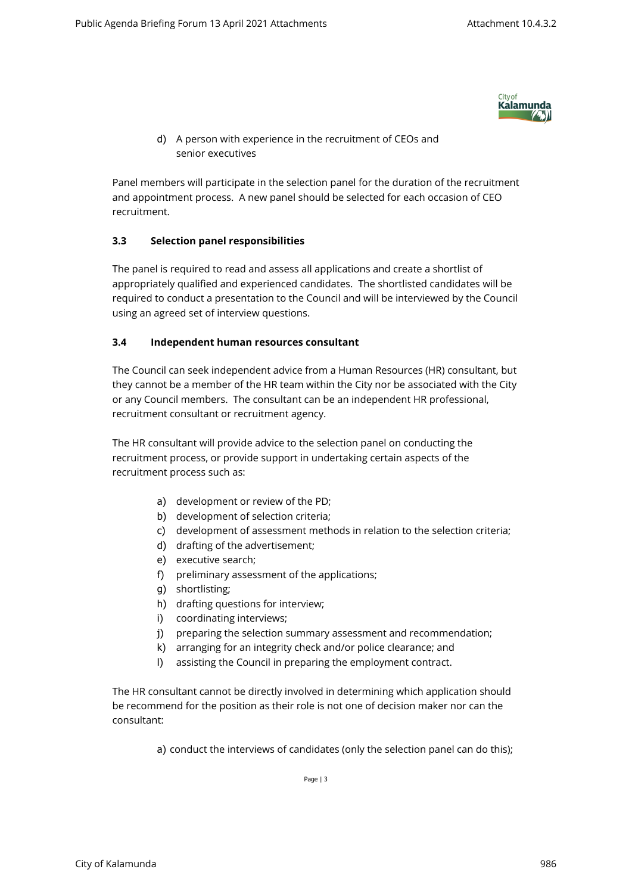

d) A person with experience in the recruitment of CEOs and senior executives

Panel members will participate in the selection panel for the duration of the recruitment and appointment process. A new panel should be selected for each occasion of CEO recruitment.

## **3.3 Selection panel responsibilities**

The panel is required to read and assess all applications and create a shortlist of appropriately qualified and experienced candidates. The shortlisted candidates will be required to conduct a presentation to the Council and will be interviewed by the Council using an agreed set of interview questions.

## **3.4 Independent human resources consultant**

The Council can seek independent advice from a Human Resources (HR) consultant, but they cannot be a member of the HR team within the City nor be associated with the City or any Council members. The consultant can be an independent HR professional, recruitment consultant or recruitment agency.

The HR consultant will provide advice to the selection panel on conducting the recruitment process, or provide support in undertaking certain aspects of the recruitment process such as:

- a) development or review of the PD;
- b) development of selection criteria;
- c) development of assessment methods in relation to the selection criteria;
- d) drafting of the advertisement;
- e) executive search;
- f) preliminary assessment of the applications;
- g) shortlisting;
- h) drafting questions for interview;
- i) coordinating interviews;
- j) preparing the selection summary assessment and recommendation;
- k) arranging for an integrity check and/or police clearance; and
- l) assisting the Council in preparing the employment contract.

The HR consultant cannot be directly involved in determining which application should be recommend for the position as their role is not one of decision maker nor can the consultant:

a) conduct the interviews of candidates (only the selection panel can do this);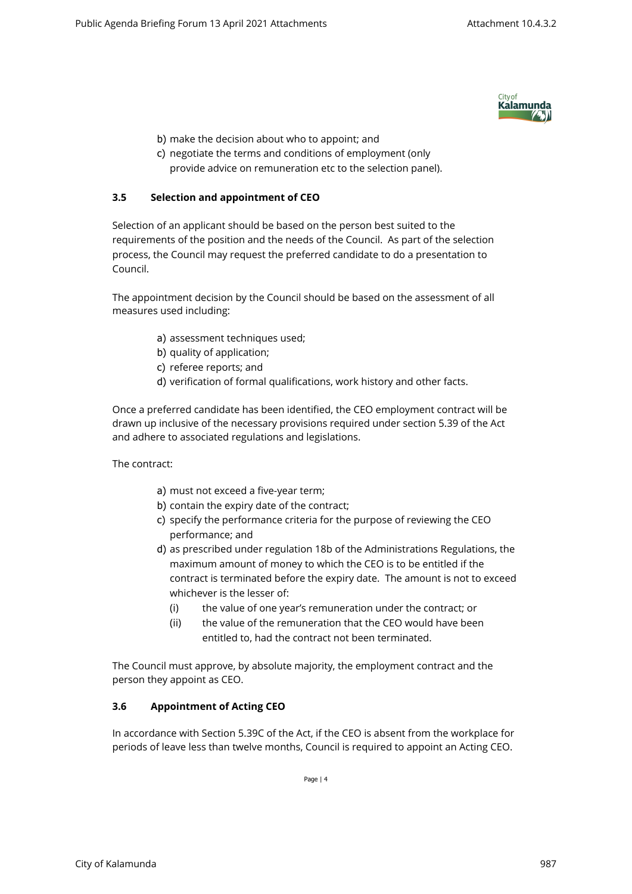

- b) make the decision about who to appoint; and
- c) negotiate the terms and conditions of employment (only provide advice on remuneration etc to the selection panel).

## **3.5 Selection and appointment of CEO**

Selection of an applicant should be based on the person best suited to the requirements of the position and the needs of the Council. As part of the selection process, the Council may request the preferred candidate to do a presentation to Council.

The appointment decision by the Council should be based on the assessment of all measures used including:

- a) assessment techniques used;
- b) quality of application;
- c) referee reports; and
- d) verification of formal qualifications, work history and other facts.

Once a preferred candidate has been identified, the CEO employment contract will be drawn up inclusive of the necessary provisions required under section 5.39 of the Act and adhere to associated regulations and legislations.

The contract:

- a) must not exceed a five-year term;
- b) contain the expiry date of the contract;
- c) specify the performance criteria for the purpose of reviewing the CEO performance; and
- d) as prescribed under regulation 18b of the Administrations Regulations, the maximum amount of money to which the CEO is to be entitled if the contract is terminated before the expiry date. The amount is not to exceed whichever is the lesser of:
	- (i) the value of one year's remuneration under the contract; or
	- (ii) the value of the remuneration that the CEO would have been entitled to, had the contract not been terminated.

The Council must approve, by absolute majority, the employment contract and the person they appoint as CEO.

## **3.6 Appointment of Acting CEO**

In accordance with Section 5.39C of the Act, if the CEO is absent from the workplace for periods of leave less than twelve months, Council is required to appoint an Acting CEO.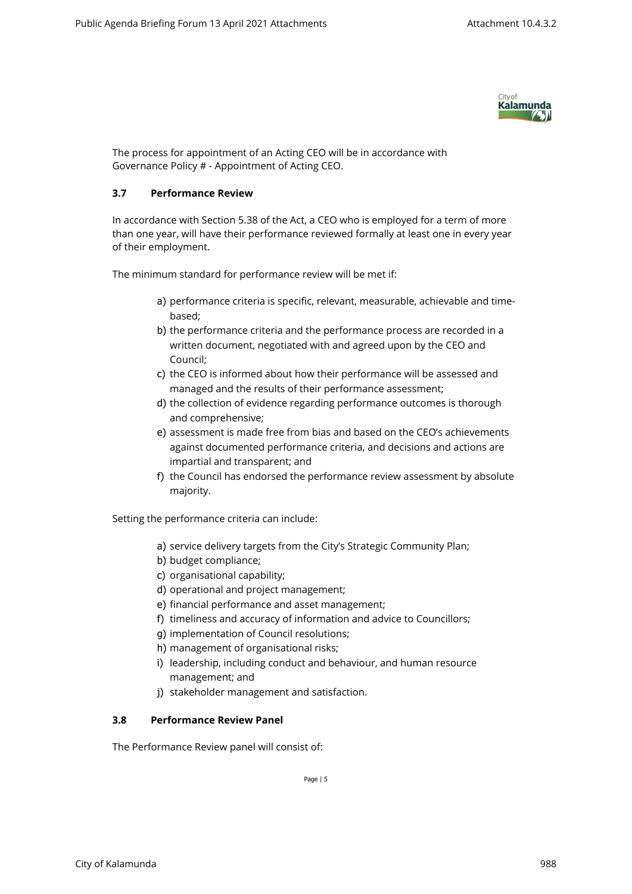

The process for appointment of an Acting CEO will be in accordance with Governance Policy # - Appointment of Acting CEO.

## **3.7 Performance Review**

In accordance with Section 5.38 of the Act, a CEO who is employed for a term of more than one year, will have their performance reviewed formally at least one in every year of their employment.

The minimum standard for performance review will be met if:

- a) performance criteria is specific, relevant, measurable, achievable and timebased;
- b) the performance criteria and the performance process are recorded in a written document, negotiated with and agreed upon by the CEO and Council;
- c) the CEO is informed about how their performance will be assessed and managed and the results of their performance assessment;
- d) the collection of evidence regarding performance outcomes is thorough and comprehensive;
- e) assessment is made free from bias and based on the CEO's achievements against documented performance criteria, and decisions and actions are impartial and transparent; and
- f) the Council has endorsed the performance review assessment by absolute majority.

Setting the performance criteria can include:

- a) service delivery targets from the City's Strategic Community Plan;
- b) budget compliance;
- c) organisational capability;
- d) operational and project management;
- e) financial performance and asset management;
- f) timeliness and accuracy of information and advice to Councillors;
- g) implementation of Council resolutions;
- h) management of organisational risks;
- i) leadership, including conduct and behaviour, and human resource management; and
- j) stakeholder management and satisfaction.

# **3.8 Performance Review Panel**

The Performance Review panel will consist of: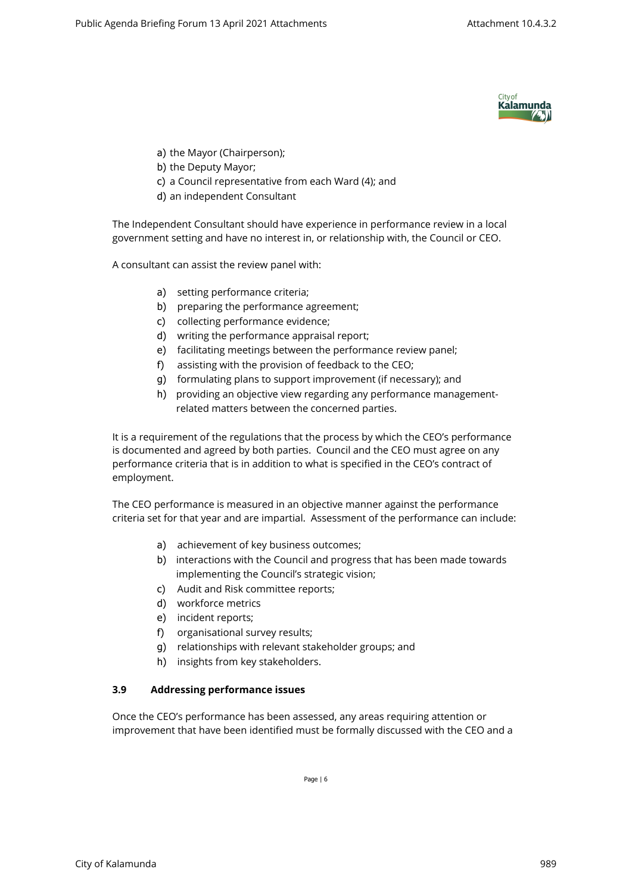

- a) the Mayor (Chairperson);
- b) the Deputy Mayor;
- c) a Council representative from each Ward (4); and
- d) an independent Consultant

The Independent Consultant should have experience in performance review in a local government setting and have no interest in, or relationship with, the Council or CEO.

A consultant can assist the review panel with:

- a) setting performance criteria;
- b) preparing the performance agreement;
- c) collecting performance evidence;
- d) writing the performance appraisal report;
- e) facilitating meetings between the performance review panel;
- f) assisting with the provision of feedback to the CEO;
- g) formulating plans to support improvement (if necessary); and
- h) providing an objective view regarding any performance managementrelated matters between the concerned parties.

It is a requirement of the regulations that the process by which the CEO's performance is documented and agreed by both parties. Council and the CEO must agree on any performance criteria that is in addition to what is specified in the CEO's contract of employment.

The CEO performance is measured in an objective manner against the performance criteria set for that year and are impartial. Assessment of the performance can include:

- a) achievement of key business outcomes;
- b) interactions with the Council and progress that has been made towards implementing the Council's strategic vision;
- c) Audit and Risk committee reports;
- d) workforce metrics
- e) incident reports;
- f) organisational survey results;
- g) relationships with relevant stakeholder groups; and
- h) insights from key stakeholders.

## **3.9 Addressing performance issues**

Once the CEO's performance has been assessed, any areas requiring attention or improvement that have been identified must be formally discussed with the CEO and a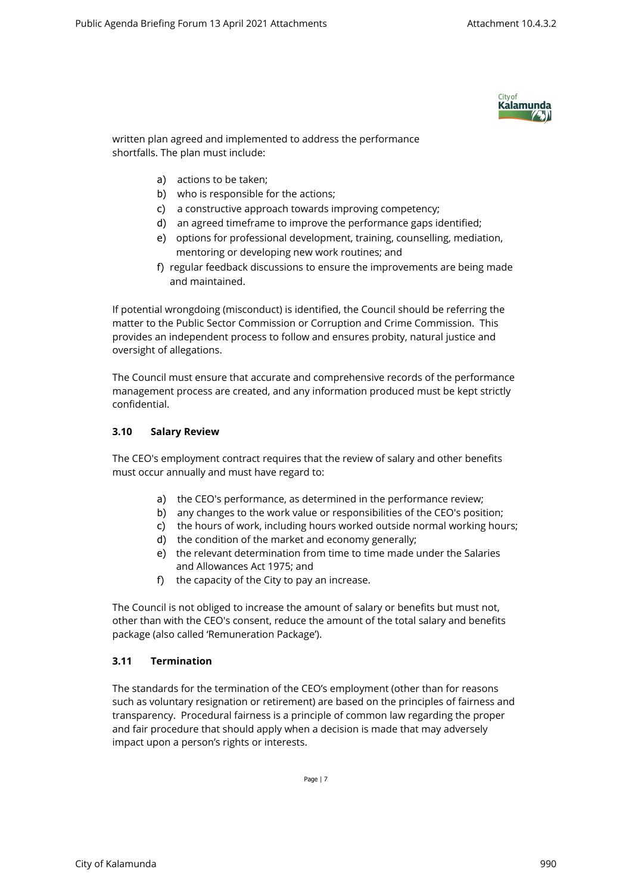

written plan agreed and implemented to address the performance shortfalls. The plan must include:

- a) actions to be taken;
- b) who is responsible for the actions;
- c) a constructive approach towards improving competency;
- d) an agreed timeframe to improve the performance gaps identified;
- e) options for professional development, training, counselling, mediation, mentoring or developing new work routines; and
- f) regular feedback discussions to ensure the improvements are being made and maintained.

If potential wrongdoing (misconduct) is identified, the Council should be referring the matter to the Public Sector Commission or Corruption and Crime Commission. This provides an independent process to follow and ensures probity, natural justice and oversight of allegations.

The Council must ensure that accurate and comprehensive records of the performance management process are created, and any information produced must be kept strictly confidential.

## **3.10 Salary Review**

The CEO's employment contract requires that the review of salary and other benefits must occur annually and must have regard to:

- a) the CEO's performance, as determined in the performance review;
- b) any changes to the work value or responsibilities of the CEO's position;
- c) the hours of work, including hours worked outside normal working hours;
- d) the condition of the market and economy generally;
- e) the relevant determination from time to time made under the Salaries and Allowances Act 1975; and
- f) the capacity of the City to pay an increase.

The Council is not obliged to increase the amount of salary or benefits but must not, other than with the CEO's consent, reduce the amount of the total salary and benefits package (also called 'Remuneration Package').

## **3.11 Termination**

The standards for the termination of the CEO's employment (other than for reasons such as voluntary resignation or retirement) are based on the principles of fairness and transparency. Procedural fairness is a principle of common law regarding the proper and fair procedure that should apply when a decision is made that may adversely impact upon a person's rights or interests.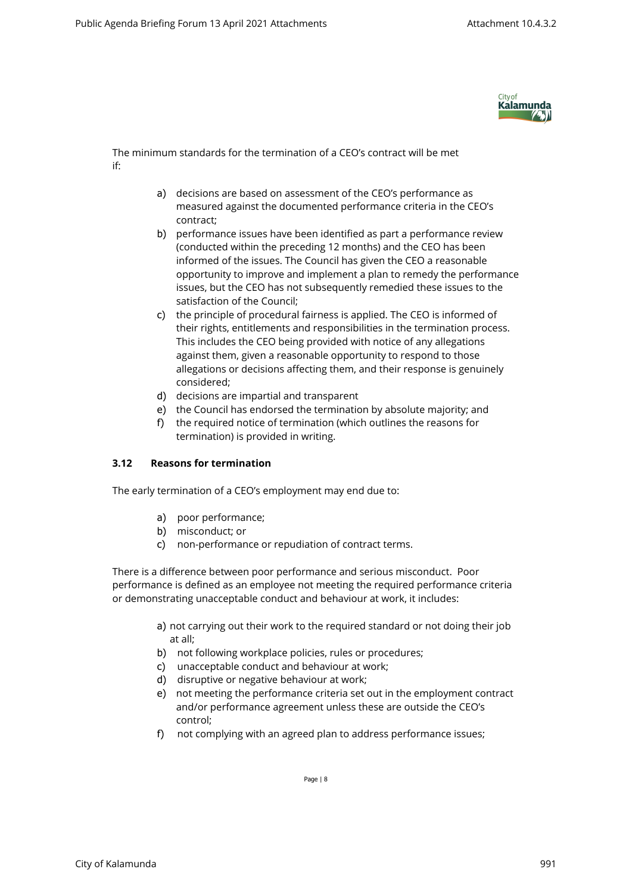

The minimum standards for the termination of a CEO's contract will be met if:

- a) decisions are based on assessment of the CEO's performance as measured against the documented performance criteria in the CEO's contract;
- b) performance issues have been identified as part a performance review (conducted within the preceding 12 months) and the CEO has been informed of the issues. The Council has given the CEO a reasonable opportunity to improve and implement a plan to remedy the performance issues, but the CEO has not subsequently remedied these issues to the satisfaction of the Council;
- c) the principle of procedural fairness is applied. The CEO is informed of their rights, entitlements and responsibilities in the termination process. This includes the CEO being provided with notice of any allegations against them, given a reasonable opportunity to respond to those allegations or decisions affecting them, and their response is genuinely considered;
- d) decisions are impartial and transparent
- e) the Council has endorsed the termination by absolute majority; and
- f) the required notice of termination (which outlines the reasons for termination) is provided in writing.

## **3.12 Reasons for termination**

The early termination of a CEO's employment may end due to:

- a) poor performance;
- b) misconduct; or
- c) non-performance or repudiation of contract terms.

There is a difference between poor performance and serious misconduct. Poor performance is defined as an employee not meeting the required performance criteria or demonstrating unacceptable conduct and behaviour at work, it includes:

- a) not carrying out their work to the required standard or not doing their job at all;
- b) not following workplace policies, rules or procedures;
- c) unacceptable conduct and behaviour at work;
- d) disruptive or negative behaviour at work;
- e) not meeting the performance criteria set out in the employment contract and/or performance agreement unless these are outside the CEO's control;
- f) not complying with an agreed plan to address performance issues;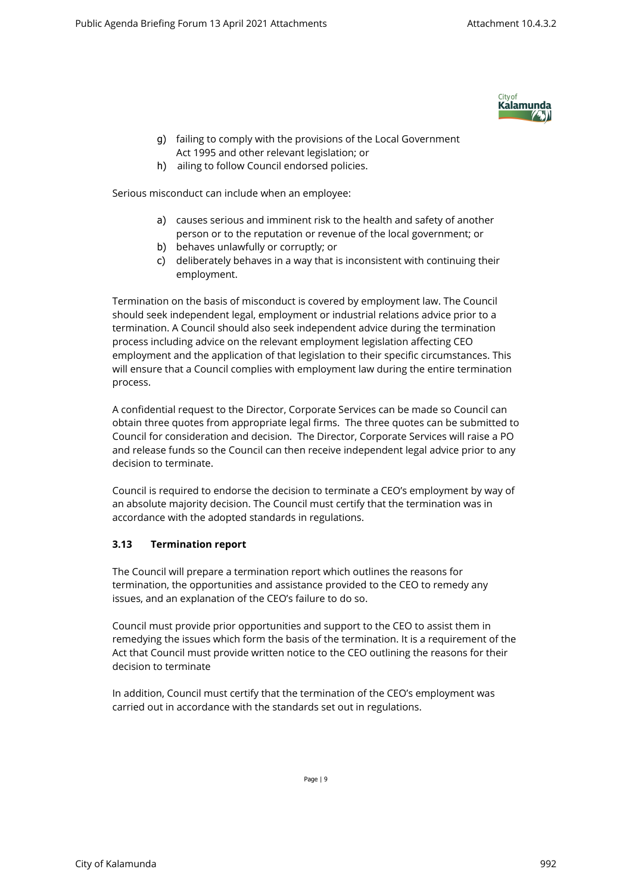

- g) failing to comply with the provisions of the Local Government Act 1995 and other relevant legislation; or
- h) ailing to follow Council endorsed policies.

Serious misconduct can include when an employee:

- a) causes serious and imminent risk to the health and safety of another person or to the reputation or revenue of the local government; or
- b) behaves unlawfully or corruptly; or
- c) deliberately behaves in a way that is inconsistent with continuing their employment.

Termination on the basis of misconduct is covered by employment law. The Council should seek independent legal, employment or industrial relations advice prior to a termination. A Council should also seek independent advice during the termination process including advice on the relevant employment legislation affecting CEO employment and the application of that legislation to their specific circumstances. This will ensure that a Council complies with employment law during the entire termination process.

A confidential request to the Director, Corporate Services can be made so Council can obtain three quotes from appropriate legal firms. The three quotes can be submitted to Council for consideration and decision. The Director, Corporate Services will raise a PO and release funds so the Council can then receive independent legal advice prior to any decision to terminate.

Council is required to endorse the decision to terminate a CEO's employment by way of an absolute majority decision. The Council must certify that the termination was in accordance with the adopted standards in regulations.

## **3.13 Termination report**

The Council will prepare a termination report which outlines the reasons for termination, the opportunities and assistance provided to the CEO to remedy any issues, and an explanation of the CEO's failure to do so.

Council must provide prior opportunities and support to the CEO to assist them in remedying the issues which form the basis of the termination. It is a requirement of the Act that Council must provide written notice to the CEO outlining the reasons for their decision to terminate

In addition, Council must certify that the termination of the CEO's employment was carried out in accordance with the standards set out in regulations.